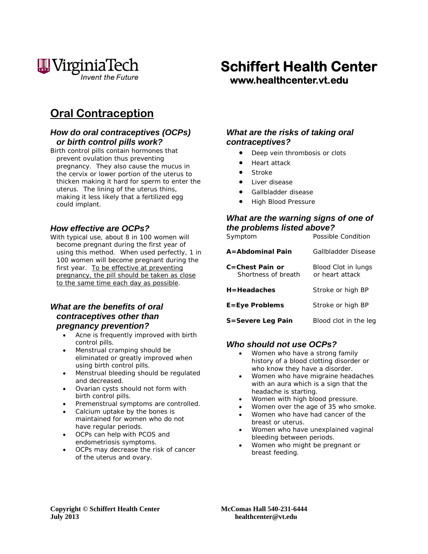

# **Oral Contraception**

### *How do oral contraceptives (OCPs) or birth control pills work?*

Birth control pills contain hormones that prevent ovulation thus preventing pregnancy. They also cause the mucus in the cervix or lower portion of the uterus to thicken making it hard for sperm to enter the uterus. The lining of the uterus thins, making it less likely that a fertilized egg could implant.

#### *How effective are OCPs?*

With typical use, about 8 in 100 women will become pregnant during the first year of using this method. When used perfectly, 1 in 100 women will become pregnant during the first year. To be effective at preventing pregnancy, the pill should be taken as close to the same time each day as possible.

#### *What are the benefits of oral contraceptives other than pregnancy prevention?*

- Acne is frequently improved with birth control pills.
- Menstrual cramping should be eliminated or greatly improved when using birth control pills.
- Menstrual bleeding should be regulated and decreased.
- Ovarian cysts should not form with birth control pills.
- Premenstrual symptoms are controlled.
- Calcium uptake by the bones is maintained for women who do not have regular periods.
- OCPs can help with PCOS and endometriosis symptoms.
- OCPs may decrease the risk of cancer of the uterus and ovary.

# **Schiffert Health Center www.healthcenter.vt.edu**

# *What are the risks of taking oral contraceptives?*

- Deep vein thrombosis or clots
- Heart attack
- Stroke
- Liver disease
- Gallbladder disease
- High Blood Pressure

#### *What are the warning signs of one of the problems listed above?*  Symptom Possible Condition

| A=Abdominal Pain                       | Gallbladder Disease                    |
|----------------------------------------|----------------------------------------|
| C=Chest Pain or<br>Shortness of breath | Blood Clot in lungs<br>or heart attack |
| H=Headaches                            | Stroke or high BP                      |
| E=Eye Problems                         | Stroke or high BP                      |
| S=Severe Leg Pain                      | Blood clot in the leg                  |

# *Who should not use OCPs?*

- Women who have a strong family history of a blood clotting disorder or who know they have a disorder.
- Women who have migraine headaches with an aura which is a sign that the headache is starting.
- Women with high blood pressure.
- Women over the age of 35 who smoke.
- Women who have had cancer of the breast or uterus.
- Women who have unexplained vaginal bleeding between periods.
- Women who might be pregnant or breast feeding.

**Copyright © Schiffert Health Center McComas Hall 540-231-6444 July 2013 healthcenter@vt.edu**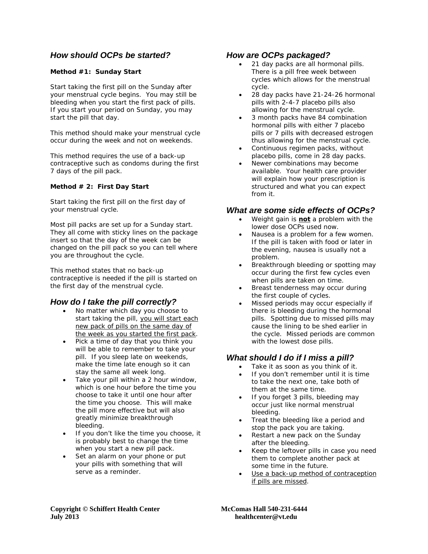# *How should OCPs be started?*

#### **Method #1: Sunday Start**

Start taking the first pill on the Sunday after your menstrual cycle begins. You may still be bleeding when you start the first pack of pills. If you start your period on Sunday, you may start the pill that day.

This method should make your menstrual cycle occur during the week and not on weekends.

This method requires the use of a back-up contraceptive such as condoms during the first 7 days of the pill pack.

#### **Method # 2: First Day Start**

Start taking the first pill on the first day of your menstrual cycle.

Most pill packs are set up for a Sunday start. They all come with sticky lines on the package insert so that the day of the week can be changed on the pill pack so you can tell where you are throughout the cycle.

This method states that no back-up contraceptive is needed if the pill is started on the first day of the menstrual cycle.

#### *How do I take the pill correctly?*

- No matter which day you choose to start taking the pill, you will start each new pack of pills on the same day of the week as you started the first pack.
- Pick a time of day that you think you will be able to remember to take your pill. If you sleep late on weekends, make the time late enough so it can stay the same all week long.
- Take your pill within a 2 hour window, which is one hour before the time you choose to take it until one hour after the time you choose. This will make the pill more effective but will also greatly minimize breakthrough bleeding.
- If you don't like the time you choose, it is probably best to change the time when you start a new pill pack.
- Set an alarm on your phone or put your pills with something that will serve as a reminder

#### *How are OCPs packaged?*

- 21 day packs are all hormonal pills. There is a pill free week between cycles which allows for the menstrual cycle.
- 28 day packs have 21-24-26 hormonal pills with 2-4-7 placebo pills also allowing for the menstrual cycle.
- 3 month packs have 84 combination hormonal pills with either 7 placebo pills or 7 pills with decreased estrogen thus allowing for the menstrual cycle.
- Continuous regimen packs, without placebo pills, come in 28 day packs.
- Newer combinations may become available. Your health care provider will explain how your prescription is structured and what you can expect from it.

#### *What are some side effects of OCPs?*

- Weight gain is **not** a problem with the lower dose OCPs used now.
- Nausea is a problem for a few women. If the pill is taken with food or later in the evening, nausea is usually not a problem.
- Breakthrough bleeding or spotting may occur during the first few cycles even when pills are taken on time.
- Breast tenderness may occur during the first couple of cycles.
- Missed periods may occur especially if there is bleeding during the hormonal pills. Spotting due to missed pills may cause the lining to be shed earlier in the cycle. Missed periods are common with the lowest dose pills.

#### *What should I do if I miss a pill?*

- Take it as soon as you think of it.
- If you don't remember until it is time to take the next one, take both of them at the same time.
- If you forget 3 pills, bleeding may occur just like normal menstrual bleeding.
- Treat the bleeding like a period and stop the pack you are taking.
- Restart a new pack on the Sunday after the bleeding.
- Keep the leftover pills in case you need them to complete another pack at some time in the future.
- Use a back-up method of contraception if pills are missed.

**Copyright © Schiffert Health Center McComas Hall 540-231-6444 July 2013 healthcenter@vt.edu**